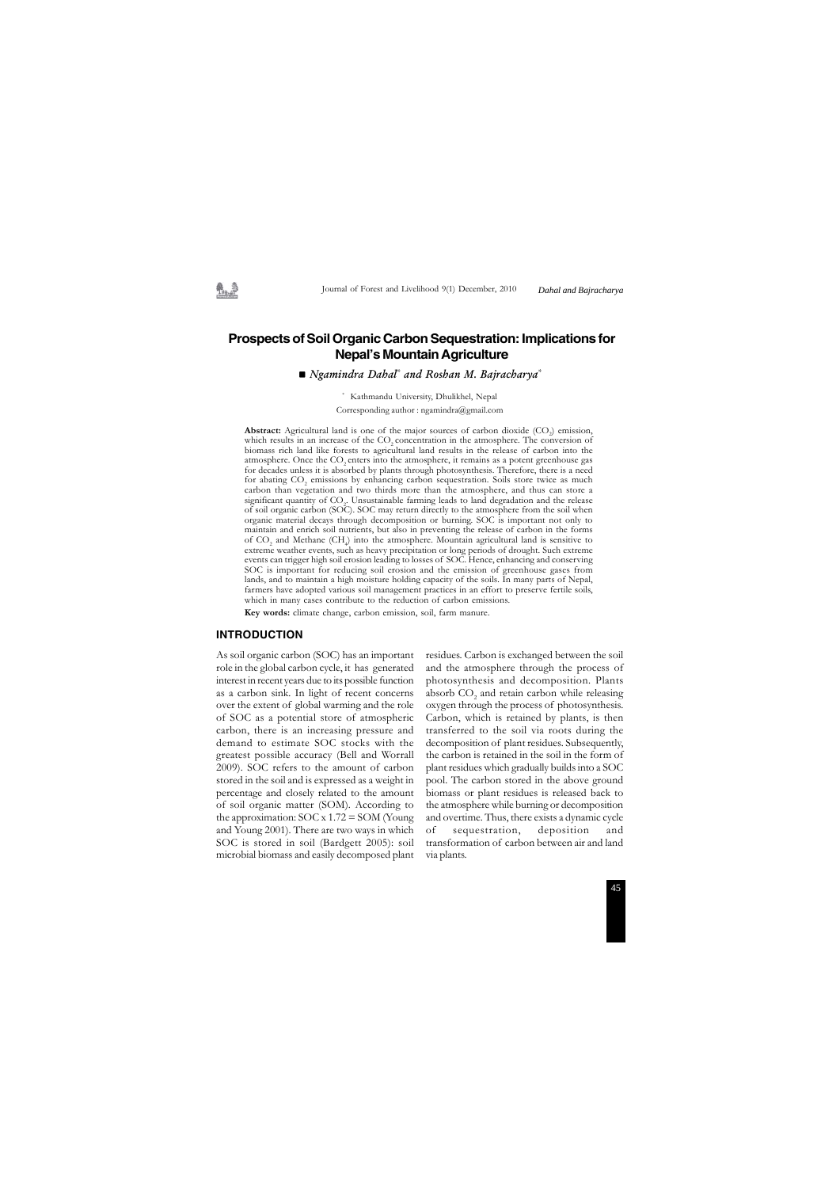### **Prospects of Soil Organic Carbon Sequestration: Implications for Nepal's Mountain Agriculture**

 *Ngamindra Dahal\* and Roshan M. Bajracharya\**

Abstract: Agricultural land is one of the major sources of carbon dioxide (CO<sub>2</sub>) emission, which results in an increase of the CO<sub>2</sub> concentration in the atmosphere. The conversion of biomass rich land like forests to agricultural land results in the release of carbon into the atmosphere. Once the CO<sub>2</sub> enters into the atmosphere, it remains as a potent greenhouse gas for decades unless it is absorbed by plants through photosynthesis. Therefore, there is a need for abating CO<sub>2</sub> emissions by enhancing carbon sequestration. Soils store twice as much carbon than vegetation and two thirds more than the atmosphere, and thus can store a significant quantity of CO<sub>2</sub>. Unsustainable farming leads to land degradation and the release of soil organic carbon (SOC). SOC may return directly to the atmosphere from the soil when organic material decays through decomposition or burning. SOC is important not only to maintain and enrich soil nutrients, but also in preventing the release of carbon in the forms of  $\mathrm{CO}_2$  and Methane  $(\mathrm{CH}_4)$  into the atmosphere. Mountain agricultural land is sensitive to extreme weather events, such as heavy precipitation or long periods of drought. Such extreme events can trigger high soil erosion leading to losses of SOC. Hence, enhancing and conserving SOC is important for reducing soil erosion and the emission of greenhouse gases from lands, and to maintain a high moisture holding capacity of the soils. In many parts of Nepal, farmers have adopted various soil management practices in an effort to preserve fertile soils, which in many cases contribute to the reduction of carbon emissions.

Journal of Forest and Livelihood 9(1) December, 2010 *Dahal and Bajracharya*

**Key words:** climate change, carbon emission, soil, farm manure.

### **INTRODUCTION**

As soil organic carbon (SOC) has an important role in the global carbon cycle, it has generated interest in recent years due to its possible function as a carbon sink. In light of recent concerns over the extent of global warming and the role of SOC as a potential store of atmospheric carbon, there is an increasing pressure and demand to estimate SOC stocks with the greatest possible accuracy (Bell and Worrall 2009). SOC refers to the amount of carbon stored in the soil and is expressed as a weight in percentage and closely related to the amount of soil organic matter (SOM). According to the approximation: SOC x 1.72 = SOM (Young and Young 2001). There are two ways in which SOC is stored in soil (Bardgett 2005): soil microbial biomass and easily decomposed plant

residues. Carbon is exchanged between the soil and the atmosphere through the process of photosynthesis and decomposition. Plants absorb  $\mathrm{CO}_2$  and retain carbon while releasing oxygen through the process of photosynthesis. Carbon, which is retained by plants, is then transferred to the soil via roots during the decomposition of plant residues. Subsequently, the carbon is retained in the soil in the form of plant residues which gradually builds into a SOC pool. The carbon stored in the above ground biomass or plant residues is released back to the atmosphere while burning or decomposition and overtime. Thus, there exists a dynamic cycle of sequestration, deposition and transformation of carbon between air and land via plants.

\* Kathmandu University, Dhulikhel, Nepal

Corresponding author : ngamindra@gmail.com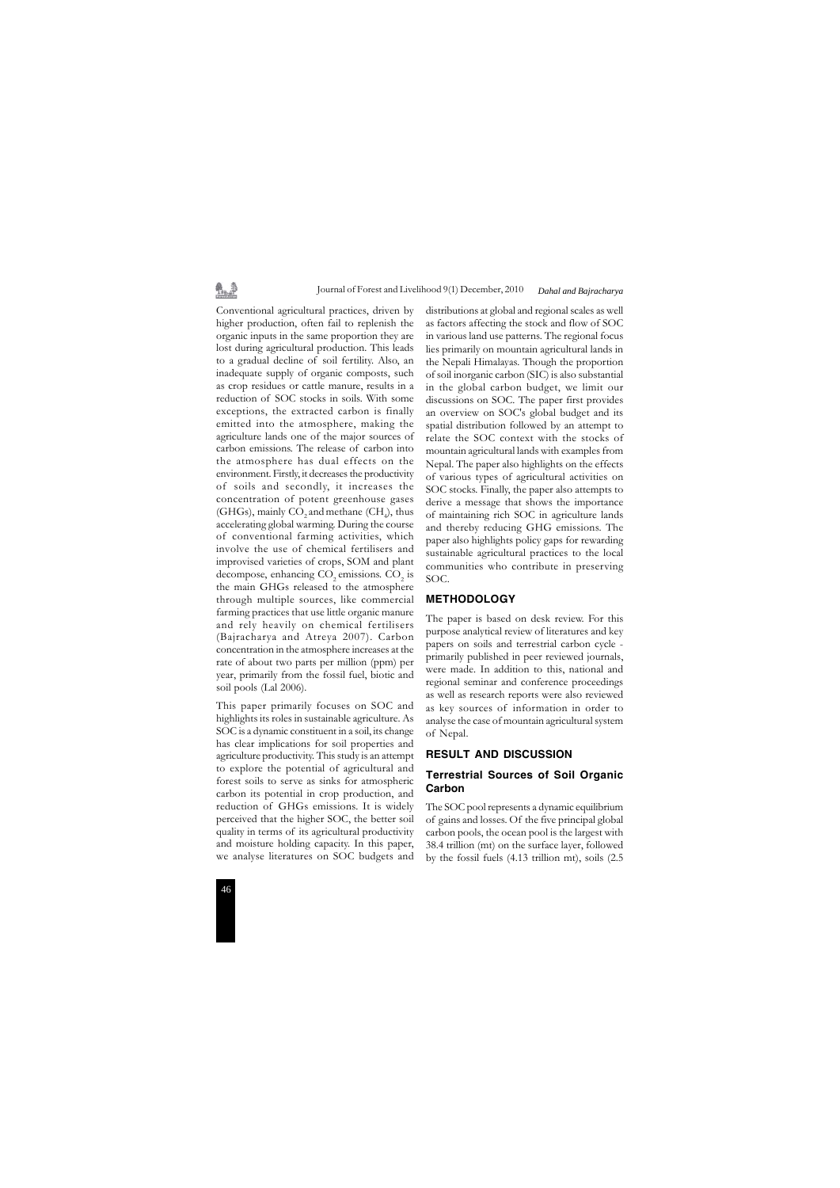

Conventional agricultural practices, driven by higher production, often fail to replenish the organic inputs in the same proportion they are lost during agricultural production. This leads to a gradual decline of soil fertility. Also, an inadequate supply of organic composts, such as crop residues or cattle manure, results in a reduction of SOC stocks in soils. With some exceptions, the extracted carbon is finally emitted into the atmosphere, making the agriculture lands one of the major sources of carbon emissions. The release of carbon into the atmosphere has dual effects on the environment. Firstly, it decreases the productivity of soils and secondly, it increases the concentration of potent greenhouse gases (GHGs), mainly  $\mathrm{CO}_2$  and methane (CH<sub>4</sub>), thus accelerating global warming. During the course of conventional farming activities, which involve the use of chemical fertilisers and improvised varieties of crops, SOM and plant decompose, enhancing  $\mathrm{CO}_2$  emissions.  $\mathrm{CO}_2$  is the main GHGs released to the atmosphere through multiple sources, like commercial farming practices that use little organic manure and rely heavily on chemical fertilisers (Bajracharya and Atreya 2007). Carbon concentration in the atmosphere increases at the rate of about two parts per million (ppm) per year, primarily from the fossil fuel, biotic and soil pools (Lal 2006).

This paper primarily focuses on SOC and highlights its roles in sustainable agriculture. As SOC is a dynamic constituent in a soil, its change has clear implications for soil properties and agriculture productivity. This study is an attempt to explore the potential of agricultural and forest soils to serve as sinks for atmospheric carbon its potential in crop production, and reduction of GHGs emissions. It is widely perceived that the higher SOC, the better soil quality in terms of its agricultural productivity and moisture holding capacity. In this paper, we analyse literatures on SOC budgets and

#### Journal of Forest and Livelihood 9(1) December, 2010 *Dahal and Bajracharya*

乳垫

distributions at global and regional scales as well as factors affecting the stock and flow of SOC in various land use patterns. The regional focus lies primarily on mountain agricultural lands in the Nepali Himalayas. Though the proportion of soil inorganic carbon (SIC) is also substantial in the global carbon budget, we limit our discussions on SOC. The paper first provides an overview on SOC's global budget and its spatial distribution followed by an attempt to relate the SOC context with the stocks of mountain agricultural lands with examples from Nepal. The paper also highlights on the effects of various types of agricultural activities on SOC stocks. Finally, the paper also attempts to derive a message that shows the importance of maintaining rich SOC in agriculture lands and thereby reducing GHG emissions. The paper also highlights policy gaps for rewarding sustainable agricultural practices to the local communities who contribute in preserving SOC.

### **METHODOLOGY**

The paper is based on desk review. For this purpose analytical review of literatures and key papers on soils and terrestrial carbon cycle primarily published in peer reviewed journals, were made. In addition to this, national and regional seminar and conference proceedings as well as research reports were also reviewed as key sources of information in order to analyse the case of mountain agricultural system of Nepal.

### **RESULT AND DISCUSSION**

### **Terrestrial Sources of Soil Organic Carbon**

The SOC pool represents a dynamic equilibrium of gains and losses. Of the five principal global carbon pools, the ocean pool is the largest with 38.4 trillion (mt) on the surface layer, followed by the fossil fuels (4.13 trillion mt), soils (2.5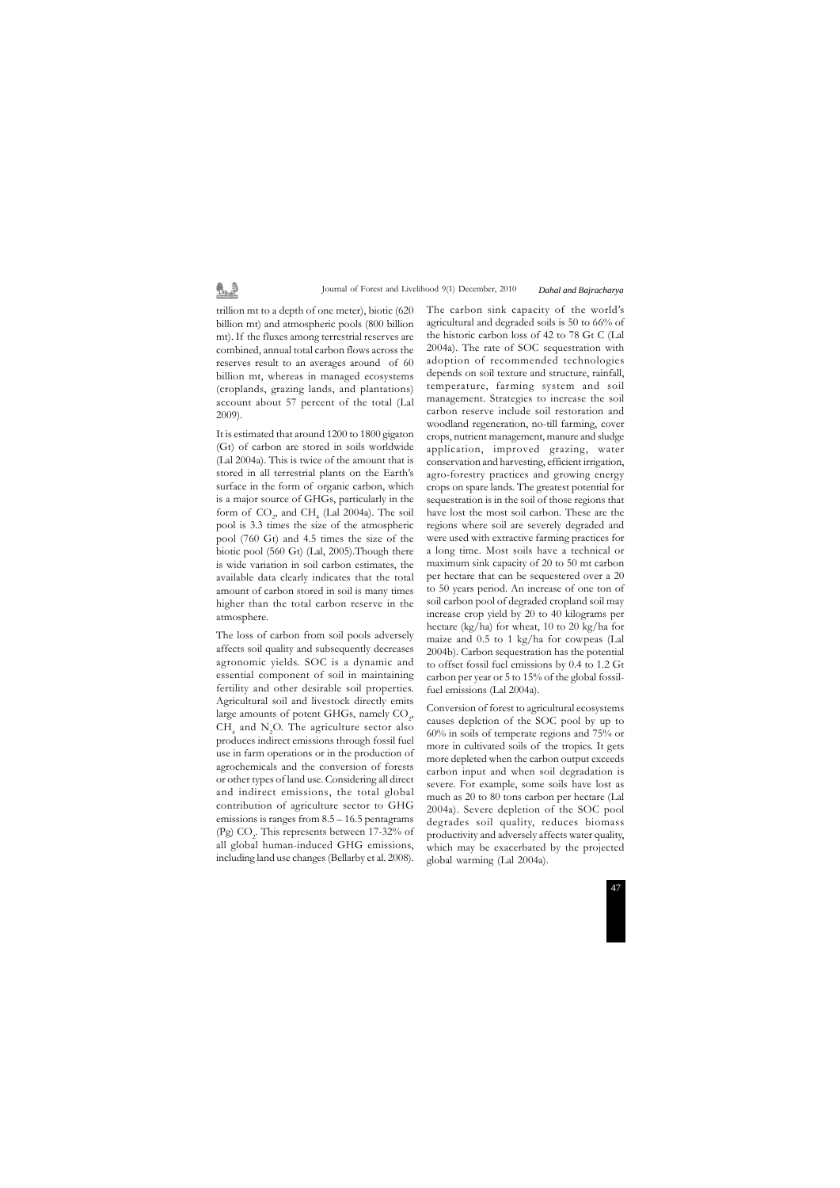trillion mt to a depth of one meter), biotic (620 billion mt) and atmospheric pools (800 billion mt). If the fluxes among terrestrial reserves are combined, annual total carbon flows across the reserves result to an averages around of 60 billion mt, whereas in managed ecosystems (croplands, grazing lands, and plantations) account about 57 percent of the total (Lal 2009).

It is estimated that around 1200 to 1800 gigaton (Gt) of carbon are stored in soils worldwide (Lal 2004a). This is twice of the amount that is stored in all terrestrial plants on the Earth's surface in the form of organic carbon, which is a major source of GHGs, particularly in the form of  $CO_2$ , and  $CH_4$  (Lal 2004a). The soil pool is 3.3 times the size of the atmospheric pool (760 Gt) and 4.5 times the size of the biotic pool (560 Gt) (Lal, 2005).Though there is wide variation in soil carbon estimates, the available data clearly indicates that the total amount of carbon stored in soil is many times higher than the total carbon reserve in the atmosphere.

The loss of carbon from soil pools adversely affects soil quality and subsequently decreases agronomic yields. SOC is a dynamic and essential component of soil in maintaining fertility and other desirable soil properties. Agricultural soil and livestock directly emits large amounts of potent GHGs, namely  $\mathrm{CO}_2$ ,  $CH<sub>4</sub>$  and N<sub>2</sub>O. The agriculture sector also produces indirect emissions through fossil fuel use in farm operations or in the production of agrochemicals and the conversion of forests or other types of land use. Considering all direct and indirect emissions, the total global contribution of agriculture sector to GHG emissions is ranges from 8.5 – 16.5 pentagrams (Pg)  $CO<sub>2</sub>$ . This represents between 17-32% of all global human-induced GHG emissions, including land use changes (Bellarby et al. 2008).

#### Journal of Forest and Livelihood 9(1) December, 2010 *Dahal and Bajracharya*

鼻垂

The carbon sink capacity of the world's agricultural and degraded soils is 50 to 66% of the historic carbon loss of 42 to 78 Gt C (Lal 2004a). The rate of SOC sequestration with adoption of recommended technologies depends on soil texture and structure, rainfall, temperature, farming system and soil management. Strategies to increase the soil carbon reserve include soil restoration and woodland regeneration, no-till farming, cover crops, nutrient management, manure and sludge application, improved grazing, water conservation and harvesting, efficient irrigation, agro-forestry practices and growing energy crops on spare lands. The greatest potential for sequestration is in the soil of those regions that have lost the most soil carbon. These are the regions where soil are severely degraded and were used with extractive farming practices for a long time. Most soils have a technical or maximum sink capacity of 20 to 50 mt carbon per hectare that can be sequestered over a 20 to 50 years period. An increase of one ton of soil carbon pool of degraded cropland soil may increase crop yield by 20 to 40 kilograms per hectare (kg/ha) for wheat, 10 to 20 kg/ha for maize and 0.5 to 1 kg/ha for cowpeas (Lal 2004b). Carbon sequestration has the potential to offset fossil fuel emissions by 0.4 to 1.2 Gt carbon per year or 5 to 15% of the global fossilfuel emissions (Lal 2004a).

Conversion of forest to agricultural ecosystems causes depletion of the SOC pool by up to 60% in soils of temperate regions and 75% or more in cultivated soils of the tropics. It gets more depleted when the carbon output exceeds carbon input and when soil degradation is severe. For example, some soils have lost as much as 20 to 80 tons carbon per hectare (Lal 2004a). Severe depletion of the SOC pool degrades soil quality, reduces biomass productivity and adversely affects water quality, which may be exacerbated by the projected global warming (Lal 2004a).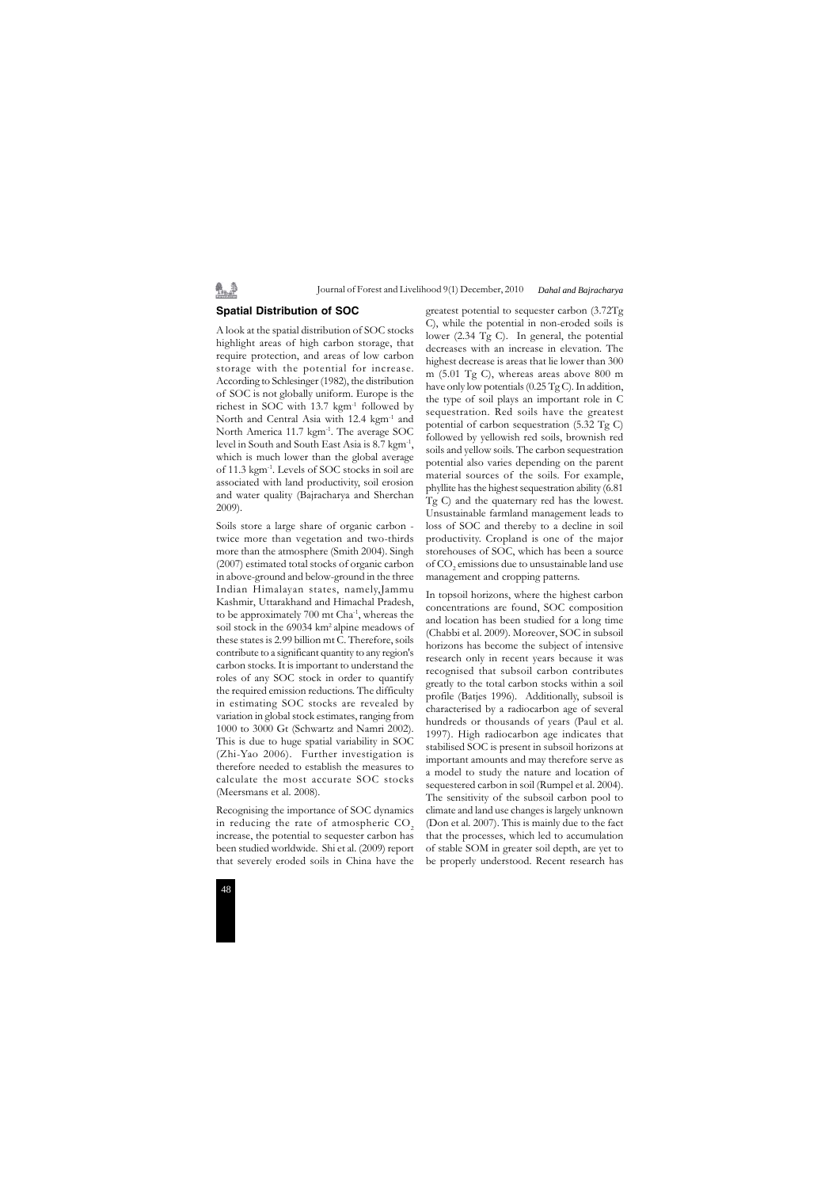

### **Spatial Distribution of SOC**

A look at the spatial distribution of SOC stocks highlight areas of high carbon storage, that require protection, and areas of low carbon storage with the potential for increase. According to Schlesinger (1982), the distribution of SOC is not globally uniform. Europe is the richest in SOC with  $13.7 \text{ kgm}^{-1}$  followed by North and Central Asia with 12.4 kgm<sup>-1</sup> and North America 11.7 kgm-1. The average SOC level in South and South East Asia is 8.7 kgm-1, which is much lower than the global average of 11.3 kgm-1. Levels of SOC stocks in soil are associated with land productivity, soil erosion and water quality (Bajracharya and Sherchan 2009).

Soils store a large share of organic carbon twice more than vegetation and two-thirds more than the atmosphere (Smith 2004). Singh (2007) estimated total stocks of organic carbon in above-ground and below-ground in the three Indian Himalayan states, namely,Jammu Kashmir, Uttarakhand and Himachal Pradesh, to be approximately 700 mt  $Cha<sup>-1</sup>$ , whereas the soil stock in the 69034 km<sup>2</sup> alpine meadows of these states is 2.99 billion mt C. Therefore, soils contribute to a significant quantity to any region's carbon stocks. It is important to understand the roles of any SOC stock in order to quantify the required emission reductions. The difficulty in estimating SOC stocks are revealed by variation in global stock estimates, ranging from 1000 to 3000 Gt (Schwartz and Namri 2002). This is due to huge spatial variability in SOC (Zhi-Yao 2006). Further investigation is therefore needed to establish the measures to calculate the most accurate SOC stocks (Meersmans et al. 2008).

Recognising the importance of SOC dynamics in reducing the rate of atmospheric  $CO<sub>2</sub>$ increase, the potential to sequester carbon has been studied worldwide. Shi et al. (2009) report that severely eroded soils in China have the

#### Journal of Forest and Livelihood 9(1) December, 2010 *Dahal and Bajracharya*

greatest potential to sequester carbon (3.72Tg C), while the potential in non-eroded soils is lower (2.34 Tg C). In general, the potential decreases with an increase in elevation. The highest decrease is areas that lie lower than 300 m (5.01 Tg C), whereas areas above 800 m have only low potentials (0.25 Tg C). In addition, the type of soil plays an important role in C sequestration. Red soils have the greatest potential of carbon sequestration (5.32 Tg C) followed by yellowish red soils, brownish red soils and yellow soils. The carbon sequestration potential also varies depending on the parent material sources of the soils. For example, phyllite has the highest sequestration ability (6.81 Tg C) and the quaternary red has the lowest. Unsustainable farmland management leads to loss of SOC and thereby to a decline in soil productivity. Cropland is one of the major storehouses of SOC, which has been a source of  $\mathrm{CO}_2$  emissions due to unsustainable land use management and cropping patterns.

In topsoil horizons, where the highest carbon concentrations are found, SOC composition and location has been studied for a long time (Chabbi et al. 2009). Moreover, SOC in subsoil horizons has become the subject of intensive research only in recent years because it was recognised that subsoil carbon contributes greatly to the total carbon stocks within a soil profile (Batjes 1996). Additionally, subsoil is characterised by a radiocarbon age of several hundreds or thousands of years (Paul et al. 1997). High radiocarbon age indicates that stabilised SOC is present in subsoil horizons at important amounts and may therefore serve as a model to study the nature and location of sequestered carbon in soil (Rumpel et al. 2004). The sensitivity of the subsoil carbon pool to climate and land use changes is largely unknown (Don et al. 2007). This is mainly due to the fact that the processes, which led to accumulation of stable SOM in greater soil depth, are yet to be properly understood. Recent research has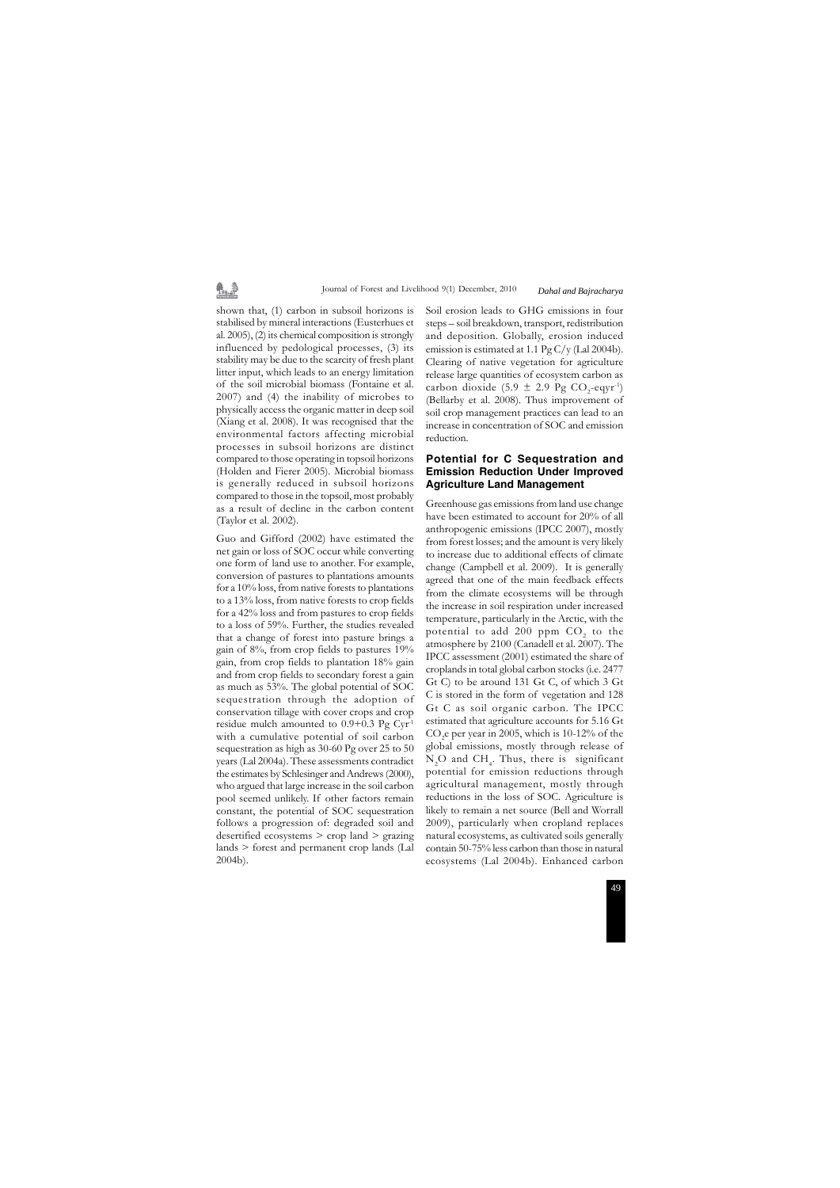shown that, (1) carbon in subsoil horizons is stabilised by mineral interactions (Eusterhues et al. 2005), (2) its chemical composition is strongly influenced by pedological processes, (3) its stability may be due to the scarcity of fresh plant litter input, which leads to an energy limitation of the soil microbial biomass (Fontaine et al. 2007) and (4) the inability of microbes to physically access the organic matter in deep soil (Xiang et al. 2008). It was recognised that the environmental factors affecting microbial processes in subsoil horizons are distinct compared to those operating in topsoil horizons (Holden and Fierer 2005). Microbial biomass is generally reduced in subsoil horizons compared to those in the topsoil, most probably as a result of decline in the carbon content (Taylor et al. 2002).

Guo and Gifford (2002) have estimated the net gain or loss of SOC occur while converting one form of land use to another. For example, conversion of pastures to plantations amounts for a 10% loss, from native forests to plantations to a 13% loss, from native forests to crop fields for a 42% loss and from pastures to crop fields to a loss of 59%. Further, the studies revealed that a change of forest into pasture brings a gain of 8%, from crop fields to pastures 19% gain, from crop fields to plantation 18% gain and from crop fields to secondary forest a gain as much as 53%. The global potential of SOC sequestration through the adoption of conservation tillage with cover crops and crop residue mulch amounted to  $0.9+0.3$  Pg Cyr<sup>-1</sup> with a cumulative potential of soil carbon sequestration as high as 30-60 Pg over 25 to 50 years (Lal 2004a). These assessments contradict the estimates by Schlesinger and Andrews (2000), who argued that large increase in the soil carbon pool seemed unlikely. If other factors remain constant, the potential of SOC sequestration follows a progression of: degraded soil and desertified ecosystems > crop land > grazing lands > forest and permanent crop lands (Lal 2004b).

#### Journal of Forest and Livelihood 9(1) December, 2010 *Dahal and Bajracharya*

魯達

Soil erosion leads to GHG emissions in four steps – soil breakdown, transport, redistribution and deposition. Globally, erosion induced emission is estimated at 1.1  $\text{Pg C/y}$  (Lal 2004b). Clearing of native vegetation for agriculture release large quantities of ecosystem carbon as carbon dioxide (5.9  $\pm$  2.9 Pg CO<sub>2</sub>-eqyr<sup>-1</sup>) (Bellarby et al. 2008). Thus improvement of soil crop management practices can lead to an increase in concentration of SOC and emission reduction.

### **Potential for C Sequestration and Emission Reduction Under Improved Agriculture Land Management**

Greenhouse gas emissions from land use change have been estimated to account for 20% of all anthropogenic emissions (IPCC 2007), mostly from forest losses; and the amount is very likely to increase due to additional effects of climate change (Campbell et al. 2009). It is generally agreed that one of the main feedback effects from the climate ecosystems will be through the increase in soil respiration under increased temperature, particularly in the Arctic, with the potential to add 200 ppm  $\mathrm{CO}_2^+$  to the atmosphere by 2100 (Canadell et al. 2007). The IPCC assessment (2001) estimated the share of croplands in total global carbon stocks (i.e. 2477 Gt C) to be around 131 Gt C, of which 3 Gt C is stored in the form of vegetation and 128 Gt C as soil organic carbon. The IPCC estimated that agriculture accounts for 5.16 Gt  $CO<sub>2</sub>e$  per year in 2005, which is 10-12% of the global emissions, mostly through release of  $N_2O$  and  $CH_4$ . Thus, there is significant potential for emission reductions through agricultural management, mostly through reductions in the loss of SOC. Agriculture is likely to remain a net source (Bell and Worrall 2009), particularly when cropland replaces natural ecosystems, as cultivated soils generally contain 50-75% less carbon than those in natural ecosystems (Lal 2004b). Enhanced carbon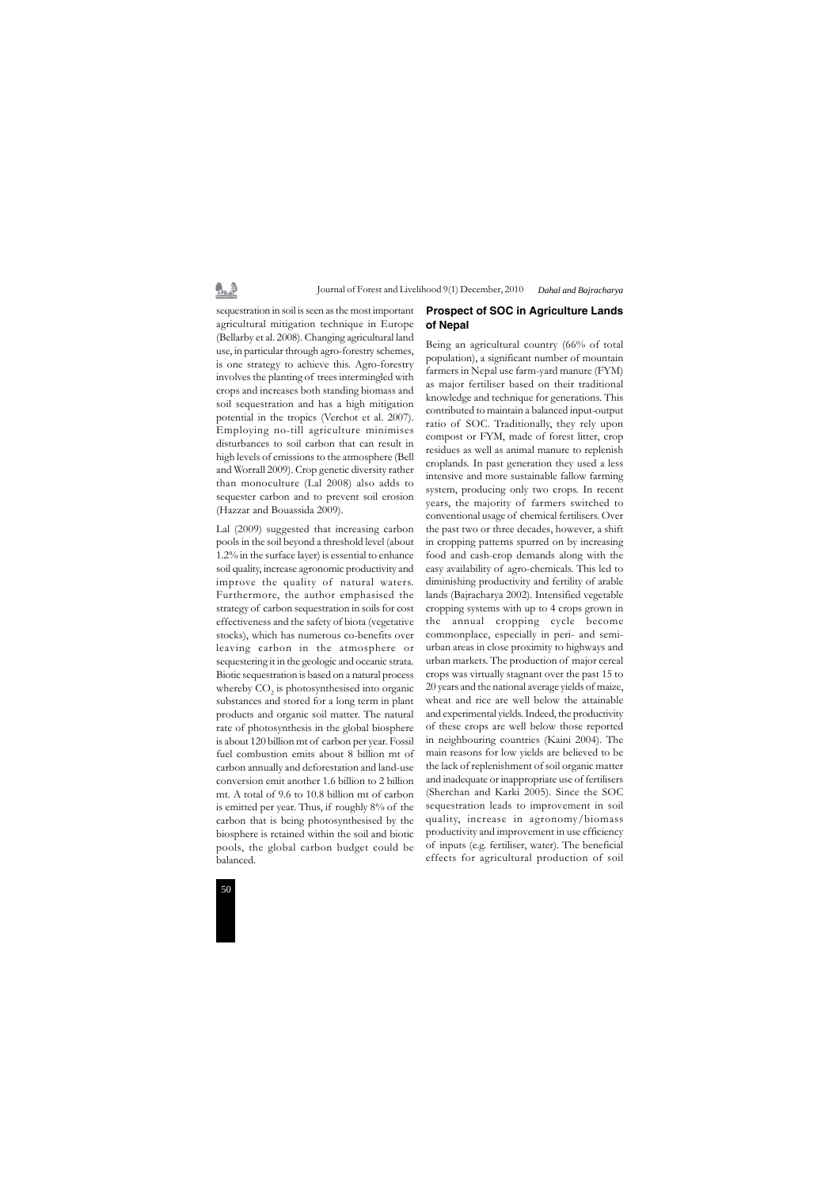

sequestration in soil is seen as the most important agricultural mitigation technique in Europe (Bellarby et al. 2008). Changing agricultural land use, in particular through agro-forestry schemes, is one strategy to achieve this. Agro-forestry involves the planting of trees intermingled with crops and increases both standing biomass and soil sequestration and has a high mitigation potential in the tropics (Verchot et al. 2007). Employing no-till agriculture minimises disturbances to soil carbon that can result in high levels of emissions to the atmosphere (Bell and Worrall 2009). Crop genetic diversity rather than monoculture (Lal 2008) also adds to sequester carbon and to prevent soil erosion (Hazzar and Bouassida 2009).

Lal (2009) suggested that increasing carbon pools in the soil beyond a threshold level (about 1.2% in the surface layer) is essential to enhance soil quality, increase agronomic productivity and improve the quality of natural waters. Furthermore, the author emphasised the strategy of carbon sequestration in soils for cost effectiveness and the safety of biota (vegetative stocks), which has numerous co-benefits over leaving carbon in the atmosphere or sequestering it in the geologic and oceanic strata. Biotic sequestration is based on a natural process whereby  $\mathrm{CO}_2$  is photosynthesised into organic substances and stored for a long term in plant products and organic soil matter. The natural rate of photosynthesis in the global biosphere is about 120 billion mt of carbon per year. Fossil fuel combustion emits about 8 billion mt of carbon annually and deforestation and land-use conversion emit another 1.6 billion to 2 billion mt. A total of 9.6 to 10.8 billion mt of carbon is emitted per year. Thus, if roughly 8% of the carbon that is being photosynthesised by the biosphere is retained within the soil and biotic pools, the global carbon budget could be balanced.

#### Journal of Forest and Livelihood 9(1) December, 2010 *Dahal and Bajracharya*

"…♪

## **Prospect of SOC in Agriculture Lands of Nepal**

Being an agricultural country (66% of total population), a significant number of mountain farmers in Nepal use farm-yard manure (FYM) as major fertiliser based on their traditional knowledge and technique for generations. This contributed to maintain a balanced input-output ratio of SOC. Traditionally, they rely upon compost or FYM, made of forest litter, crop residues as well as animal manure to replenish croplands. In past generation they used a less intensive and more sustainable fallow farming system, producing only two crops. In recent years, the majority of farmers switched to conventional usage of chemical fertilisers. Over the past two or three decades, however, a shift in cropping patterns spurred on by increasing food and cash-crop demands along with the easy availability of agro-chemicals. This led to diminishing productivity and fertility of arable lands (Bajracharya 2002). Intensified vegetable cropping systems with up to 4 crops grown in the annual cropping cycle become commonplace, especially in peri- and semiurban areas in close proximity to highways and urban markets. The production of major cereal crops was virtually stagnant over the past 15 to 20 years and the national average yields of maize, wheat and rice are well below the attainable and experimental yields. Indeed, the productivity of these crops are well below those reported in neighbouring countries (Kaini 2004). The main reasons for low yields are believed to be the lack of replenishment of soil organic matter and inadequate or inappropriate use of fertilisers (Sherchan and Karki 2005). Since the SOC sequestration leads to improvement in soil quality, increase in agronomy/biomass productivity and improvement in use efficiency of inputs (e.g. fertiliser, water). The beneficial effects for agricultural production of soil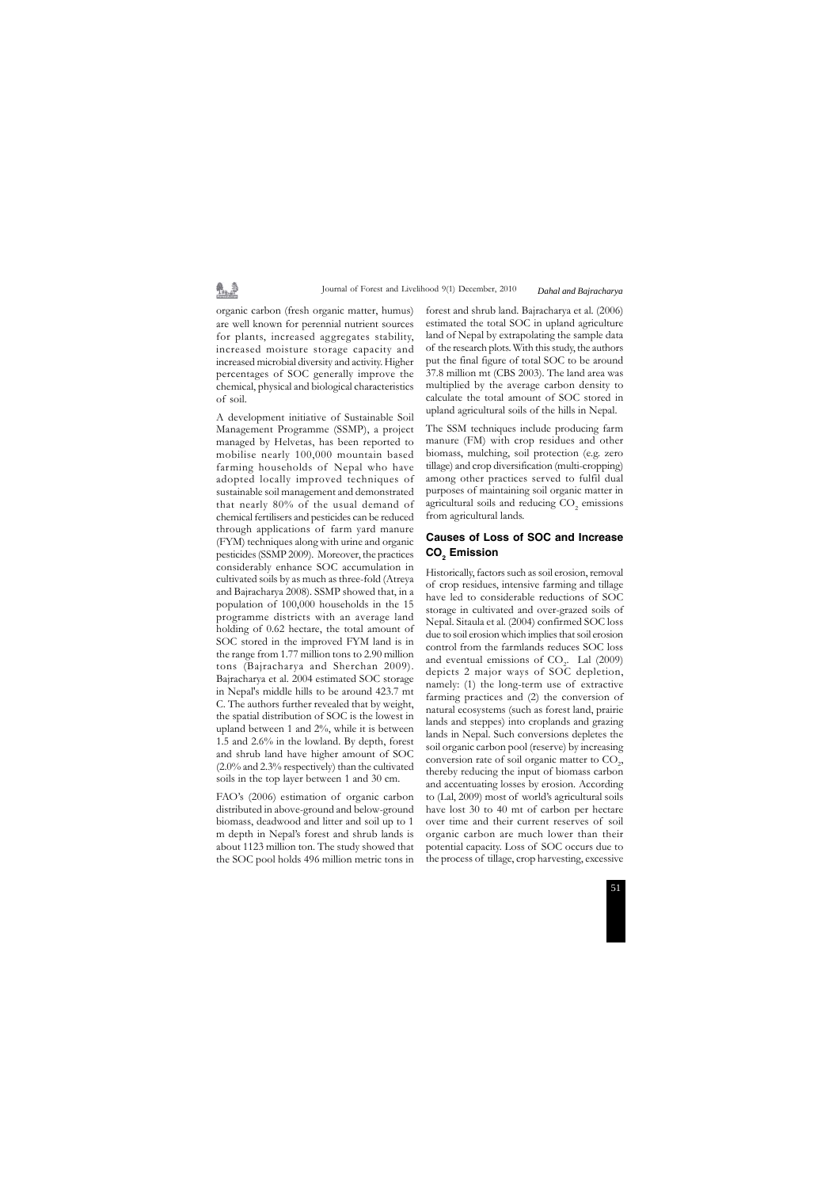organic carbon (fresh organic matter, humus) are well known for perennial nutrient sources for plants, increased aggregates stability, increased moisture storage capacity and increased microbial diversity and activity. Higher percentages of SOC generally improve the chemical, physical and biological characteristics of soil.

4.J

A development initiative of Sustainable Soil Management Programme (SSMP), a project managed by Helvetas, has been reported to mobilise nearly 100,000 mountain based farming households of Nepal who have adopted locally improved techniques of sustainable soil management and demonstrated that nearly 80% of the usual demand of chemical fertilisers and pesticides can be reduced through applications of farm yard manure (FYM) techniques along with urine and organic pesticides (SSMP 2009). Moreover, the practices considerably enhance SOC accumulation in cultivated soils by as much as three-fold (Atreya and Bajracharya 2008). SSMP showed that, in a population of 100,000 households in the 15 programme districts with an average land holding of 0.62 hectare, the total amount of SOC stored in the improved FYM land is in the range from 1.77 million tons to 2.90 million tons (Bajracharya and Sherchan 2009). Bajracharya et al. 2004 estimated SOC storage in Nepal's middle hills to be around 423.7 mt C. The authors further revealed that by weight, the spatial distribution of SOC is the lowest in upland between 1 and 2%, while it is between 1.5 and 2.6% in the lowland. By depth, forest and shrub land have higher amount of SOC (2.0% and 2.3% respectively) than the cultivated soils in the top layer between 1 and 30 cm.

### **Causes of Loss of SOC and Increase** CO<sub>2</sub> Emission

FAO's (2006) estimation of organic carbon distributed in above-ground and below-ground biomass, deadwood and litter and soil up to 1 m depth in Nepal's forest and shrub lands is about 1123 million ton. The study showed that the SOC pool holds 496 million metric tons in

#### Journal of Forest and Livelihood 9(1) December, 2010 *Dahal and Bajracharya*

forest and shrub land. Bajracharya et al. (2006) estimated the total SOC in upland agriculture land of Nepal by extrapolating the sample data of the research plots. With this study, the authors put the final figure of total SOC to be around 37.8 million mt (CBS 2003). The land area was multiplied by the average carbon density to calculate the total amount of SOC stored in upland agricultural soils of the hills in Nepal.

The SSM techniques include producing farm manure (FM) with crop residues and other biomass, mulching, soil protection (e.g. zero tillage) and crop diversification (multi-cropping) among other practices served to fulfil dual purposes of maintaining soil organic matter in agricultural soils and reducing  $\mathrm{CO}_2$  emissions from agricultural lands.

Historically, factors such as soil erosion, removal of crop residues, intensive farming and tillage have led to considerable reductions of SOC storage in cultivated and over-grazed soils of Nepal. Sitaula et al. (2004) confirmed SOC loss due to soil erosion which implies that soil erosion control from the farmlands reduces SOC loss and eventual emissions of  $CO<sub>2</sub>$ . Lal (2009) depicts 2 major ways of SOC depletion, namely: (1) the long-term use of extractive farming practices and (2) the conversion of natural ecosystems (such as forest land, prairie lands and steppes) into croplands and grazing lands in Nepal. Such conversions depletes the soil organic carbon pool (reserve) by increasing conversion rate of soil organic matter to  $\mathrm{CO}_2$ , thereby reducing the input of biomass carbon and accentuating losses by erosion. According to (Lal, 2009) most of world's agricultural soils have lost 30 to 40 mt of carbon per hectare over time and their current reserves of soil organic carbon are much lower than their potential capacity. Loss of SOC occurs due to the process of tillage, crop harvesting, excessive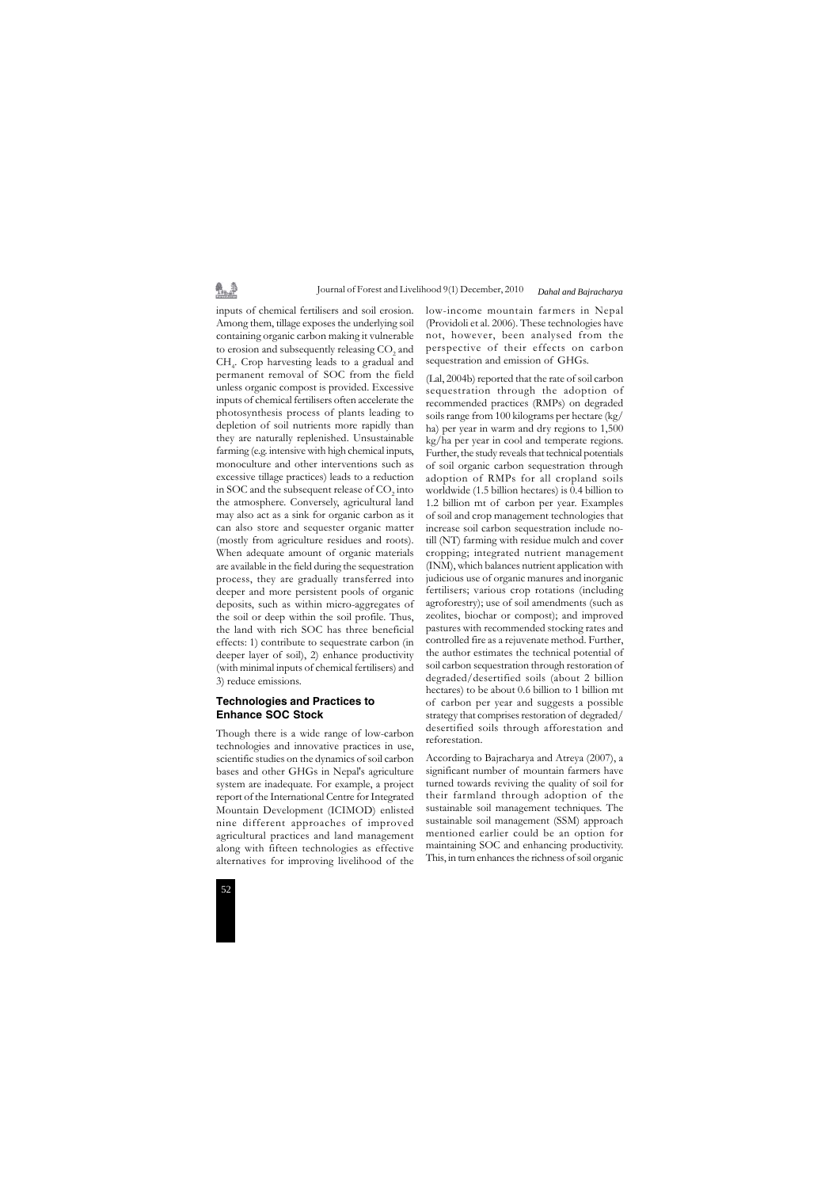乳垫



inputs of chemical fertilisers and soil erosion. Among them, tillage exposes the underlying soil containing organic carbon making it vulnerable to erosion and subsequently releasing  $\mathrm{CO}_2$  and CH4 . Crop harvesting leads to a gradual and permanent removal of SOC from the field unless organic compost is provided. Excessive inputs of chemical fertilisers often accelerate the photosynthesis process of plants leading to depletion of soil nutrients more rapidly than they are naturally replenished. Unsustainable farming (e.g. intensive with high chemical inputs, monoculture and other interventions such as excessive tillage practices) leads to a reduction in SOC and the subsequent release of  $\mathrm{CO}_2$  into the atmosphere. Conversely, agricultural land may also act as a sink for organic carbon as it can also store and sequester organic matter (mostly from agriculture residues and roots). When adequate amount of organic materials are available in the field during the sequestration process, they are gradually transferred into deeper and more persistent pools of organic deposits, such as within micro-aggregates of the soil or deep within the soil profile. Thus, the land with rich SOC has three beneficial effects: 1) contribute to sequestrate carbon (in deeper layer of soil), 2) enhance productivity (with minimal inputs of chemical fertilisers) and 3) reduce emissions.

### **Technologies and Practices to Enhance SOC Stock**

Though there is a wide range of low-carbon technologies and innovative practices in use, scientific studies on the dynamics of soil carbon bases and other GHGs in Nepal's agriculture system are inadequate. For example, a project report of the International Centre for Integrated Mountain Development (ICIMOD) enlisted nine different approaches of improved agricultural practices and land management along with fifteen technologies as effective alternatives for improving livelihood of the

### Journal of Forest and Livelihood 9(1) December, 2010 *Dahal and Bajracharya*

low-income mountain farmers in Nepal (Providoli et al. 2006). These technologies have not, however, been analysed from the perspective of their effects on carbon sequestration and emission of GHGs.

(Lal, 2004b) reported that the rate of soil carbon sequestration through the adoption of recommended practices (RMPs) on degraded soils range from 100 kilograms per hectare (kg/ ha) per year in warm and dry regions to 1,500 kg/ha per year in cool and temperate regions. Further, the study reveals that technical potentials of soil organic carbon sequestration through adoption of RMPs for all cropland soils worldwide (1.5 billion hectares) is 0.4 billion to 1.2 billion mt of carbon per year. Examples of soil and crop management technologies that increase soil carbon sequestration include notill (NT) farming with residue mulch and cover cropping; integrated nutrient management (INM), which balances nutrient application with judicious use of organic manures and inorganic fertilisers; various crop rotations (including agroforestry); use of soil amendments (such as zeolites, biochar or compost); and improved pastures with recommended stocking rates and controlled fire as a rejuvenate method. Further, the author estimates the technical potential of soil carbon sequestration through restoration of degraded/desertified soils (about 2 billion hectares) to be about 0.6 billion to 1 billion mt of carbon per year and suggests a possible strategy that comprises restoration of degraded/ desertified soils through afforestation and reforestation.

According to Bajracharya and Atreya (2007), a significant number of mountain farmers have turned towards reviving the quality of soil for their farmland through adoption of the sustainable soil management techniques. The sustainable soil management (SSM) approach mentioned earlier could be an option for maintaining SOC and enhancing productivity. This, in turn enhances the richness of soil organic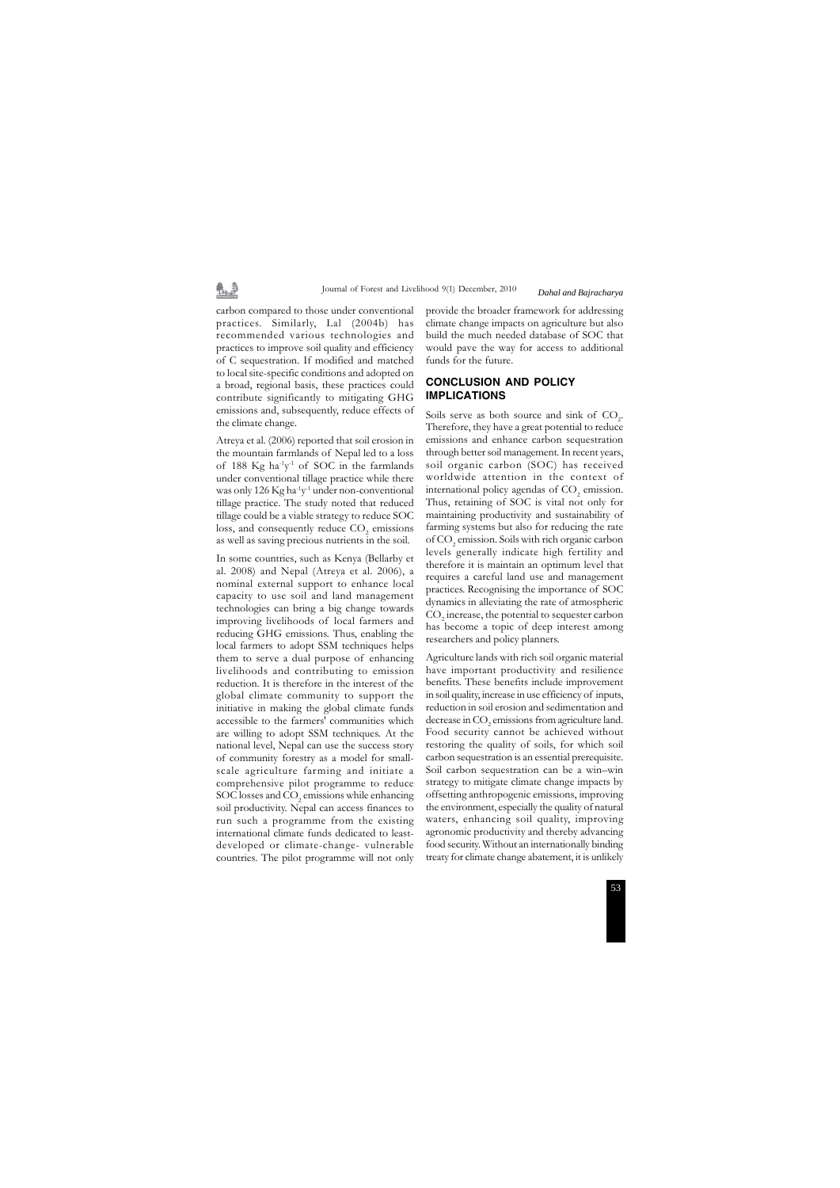### Journal of Forest and Livelihood 9(1) December, 2010

carbon compared to those under conventional practices. Similarly, Lal (2004b) has recommended various technologies and practices to improve soil quality and efficiency of C sequestration. If modified and matched to local site-specific conditions and adopted on a broad, regional basis, these practices could contribute significantly to mitigating GHG emissions and, subsequently, reduce effects of the climate change.

Atreya et al. (2006) reported that soil erosion in the mountain farmlands of Nepal led to a loss of 188 Kg ha<sup>-1</sup>y<sup>-1</sup> of SOC in the farmlands under conventional tillage practice while there was only 126 Kg ha<sup>-1</sup>y<sup>-1</sup> under non-conventional tillage practice. The study noted that reduced tillage could be a viable strategy to reduce SOC loss, and consequently reduce  $\mathrm{CO}_2$  emissions as well as saving precious nutrients in the soil.

In some countries, such as Kenya (Bellarby et al. 2008) and Nepal (Atreya et al. 2006), a nominal external support to enhance local capacity to use soil and land management technologies can bring a big change towards improving livelihoods of local farmers and reducing GHG emissions. Thus, enabling the local farmers to adopt SSM techniques helps them to serve a dual purpose of enhancing livelihoods and contributing to emission reduction. It is therefore in the interest of the global climate community to support the initiative in making the global climate funds accessible to the farmers' communities which are willing to adopt SSM techniques. At the national level, Nepal can use the success story of community forestry as a model for smallscale agriculture farming and initiate a comprehensive pilot programme to reduce SOC losses and  $\mathrm{CO}_2$  emissions while enhancing soil productivity. Nepal can access finances to run such a programme from the existing international climate funds dedicated to leastdeveloped or climate-change- vulnerable countries. The pilot programme will not only

Soils serve as both source and sink of  $CO<sub>2</sub>$ . Therefore, they have a great potential to reduce emissions and enhance carbon sequestration through better soil management. In recent years, soil organic carbon (SOC) has received worldwide attention in the context of international policy agendas of  $\mathrm{CO}_2$  emission. Thus, retaining of SOC is vital not only for maintaining productivity and sustainability of farming systems but also for reducing the rate of  $\mathrm{CO}_2$  emission. Soils with rich organic carbon levels generally indicate high fertility and therefore it is maintain an optimum level that requires a careful land use and management practices. Recognising the importance of SOC dynamics in alleviating the rate of atmospheric  $\mathrm{CO}_2$  increase, the potential to sequester carbon has become a topic of deep interest among researchers and policy planners.

provide the broader framework for addressing climate change impacts on agriculture but also build the much needed database of SOC that would pave the way for access to additional funds for the future.

### **CONCLUSION AND POLICY IMPLICATIONS**

Agriculture lands with rich soil organic material have important productivity and resilience benefits. These benefits include improvement in soil quality, increase in use efficiency of inputs, reduction in soil erosion and sedimentation and decrease in  $\mathrm{CO}_2$  emissions from agriculture land. Food security cannot be achieved without restoring the quality of soils, for which soil carbon sequestration is an essential prerequisite. Soil carbon sequestration can be a win–win strategy to mitigate climate change impacts by offsetting anthropogenic emissions, improving the environment, especially the quality of natural waters, enhancing soil quality, improving agronomic productivity and thereby advancing food security. Without an internationally binding treaty for climate change abatement, it is unlikely

*Dahal and Bajracharya*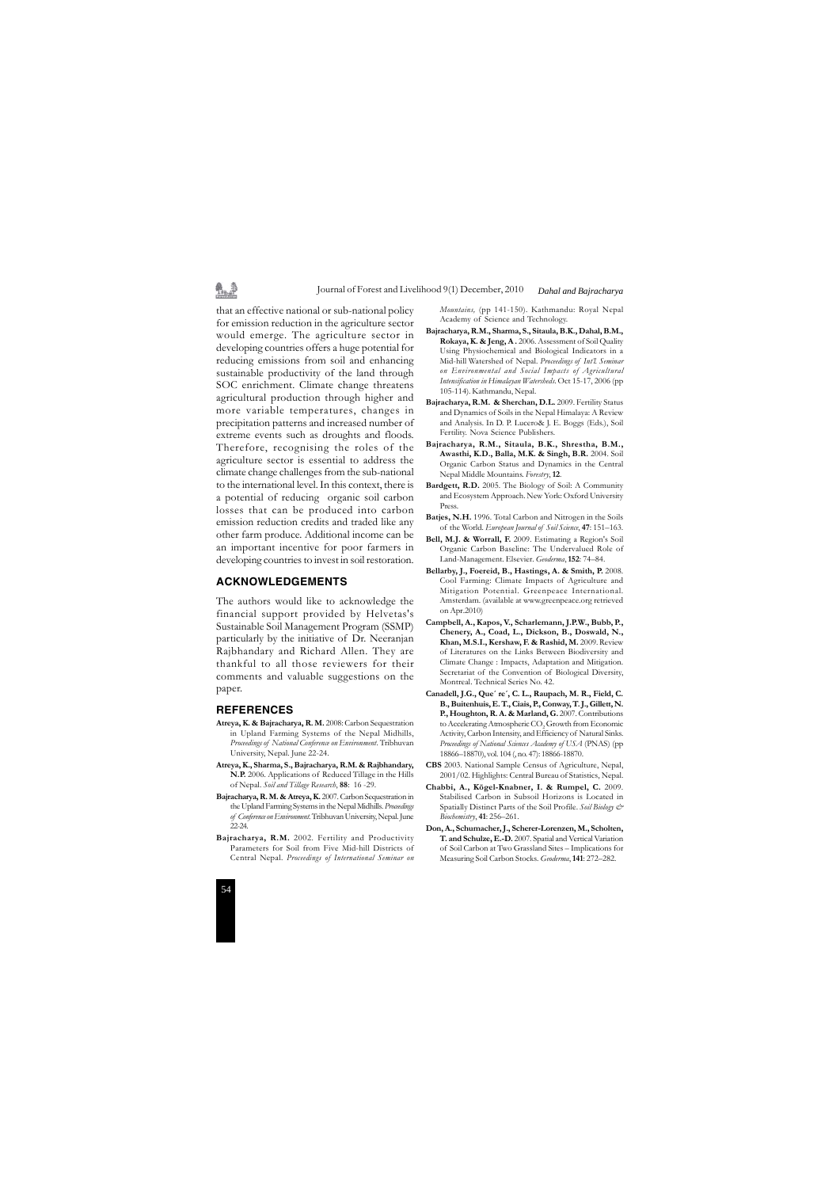

that an effective national or sub-national policy for emission reduction in the agriculture sector would emerge. The agriculture sector in developing countries offers a huge potential for reducing emissions from soil and enhancing sustainable productivity of the land through SOC enrichment. Climate change threatens agricultural production through higher and more variable temperatures, changes in precipitation patterns and increased number of extreme events such as droughts and floods. Therefore, recognising the roles of the agriculture sector is essential to address the climate change challenges from the sub-national to the international level. In this context, there is a potential of reducing organic soil carbon losses that can be produced into carbon emission reduction credits and traded like any other farm produce. Additional income can be an important incentive for poor farmers in developing countries to invest in soil restoration.

### **ACKNOWLEDGEMENTS**

The authors would like to acknowledge the financial support provided by Helvetas's Sustainable Soil Management Program (SSMP) particularly by the initiative of Dr. Neeranjan Rajbhandary and Richard Allen. They are thankful to all those reviewers for their comments and valuable suggestions on the paper.

### **REFERENCES**

- **Atreya, K. & Bajracharya, R. M.** 2008: Carbon Sequestration in Upland Farming Systems of the Nepal Midhills, *Proceedings of National Conference on Environment*. Tribhuvan University, Nepal. June 22-24.
- **Atreya, K., Sharma, S., Bajracharya, R.M. & Rajbhandary, N.P.** 2006. Applications of Reduced Tillage in the Hills of Nepal. *Soil and Tillage Research*, **88**: 16 -29.
- **Bajracharya, R. M. & Atreya, K.** 2007. Carbon Sequestration in the Upland Farming Systems in the Nepal Midhills. *Proceedings of Conference on Environment*. Tribhuvan University, Nepal. June 22-24.
- **Bajracharya, R.M.** 2002. Fertility and Productivity Parameters for Soil from Five Mid-hill Districts of Central Nepal. *Proceedings of International Seminar on*

*Mountains,* (pp 141-150). Kathmandu: Royal Nepal Academy of Science and Technology.

#### Journal of Forest and Livelihood 9(1) December, 2010 *Dahal and Bajracharya*

乳津

- **Bajracharya, R.M., Sharma, S., Sitaula, B.K., Dahal, B.M., Rokaya, K. & Jeng, A .** 2006. Assessment of Soil Quality Using Physiochemical and Biological Indicators in a Mid-hill Watershed of Nepal. *Proceedings of Int'l. Seminar on Environmental and Social Impacts of Agricultural Intensification in Himalayan Watersheds*. Oct 15-17, 2006 (pp 105-114). Kathmandu, Nepal.
- **Bajracharya, R.M. & Sherchan, D.L.** 2009. Fertility Status and Dynamics of Soils in the Nepal Himalaya: A Review and Analysis. In D. P. Lucero& J. E. Boggs (Eds.), Soil Fertility. Nova Science Publishers.
- **Bajracharya, R.M., Sitaula, B.K., Shrestha, B.M., Awasthi, K.D., Balla, M.K. & Singh, B.R.** 2004. Soil Organic Carbon Status and Dynamics in the Central Nepal Middle Mountains. *Forestry*, **12**.
- **Bardgett, R.D.** 2005. The Biology of Soil: A Community and Ecosystem Approach. New York: Oxford University Press.
- **Batjes, N.H.** 1996. Total Carbon and Nitrogen in the Soils of the World. *European Journal of Soil Science*, **47**: 151–163.
- **Bell, M.J. & Worrall, F.** 2009. Estimating a Region's Soil Organic Carbon Baseline: The Undervalued Role of Land-Management. Elsevier. *Geoderma*, **152**: 74–84.
- **Bellarby, J., Foereid, B., Hastings, A. & Smith, P.** 2008. Cool Farming: Climate Impacts of Agriculture and Mitigation Potential. Greenpeace International. Amsterdam. (available at www.greenpeace.org retrieved on Apr.2010)
- **Campbell, A., Kapos, V., Scharlemann, J.P.W., Bubb, P., Chenery, A., Coad, L., Dickson, B., Doswald, N., Khan, M.S.I., Kershaw, F. & Rashid, M.** 2009. Review of Literatures on the Links Between Biodiversity and Climate Change : Impacts, Adaptation and Mitigation. Secretariat of the Convention of Biological Diversity, Montreal. Technical Series No. 42.
- **Canadell, J.G., Que´ re´, C. L., Raupach, M. R., Field, C. B., Buitenhuis, E. T., Ciais, P., Conway, T. J., Gillett, N. P., Houghton, R. A. & Marland, G.** 2007. Contributions to Accelerating Atmospheric CO<sub>2</sub> Growth from Economic Activity, Carbon Intensity, and Efficiency of Natural Sinks. *Proceedings of National Sciences Academy of USA* (PNAS) (pp 18866–18870), vol. 104 (, no. 47): 18866-18870.
- **CBS** 2003. National Sample Census of Agriculture, Nepal, 2001/02. Highlights: Central Bureau of Statistics, Nepal.
- **Chabbi, A., Kögel-Knabner, I. & Rumpel, C.** 2009. Stabilised Carbon in Subsoil Horizons is Located in Spatially Distinct Parts of the Soil Profile. *Soil Biology & Biochemistry*, **41**: 256–261.
- **Don, A., Schumacher, J., Scherer-Lorenzen, M., Scholten, T. and Schulze, E.-D.** 2007. Spatial and Vertical Variation of Soil Carbon at Two Grassland Sites – Implications for Measuring Soil Carbon Stocks. *Geoderma*, **141**: 272–282.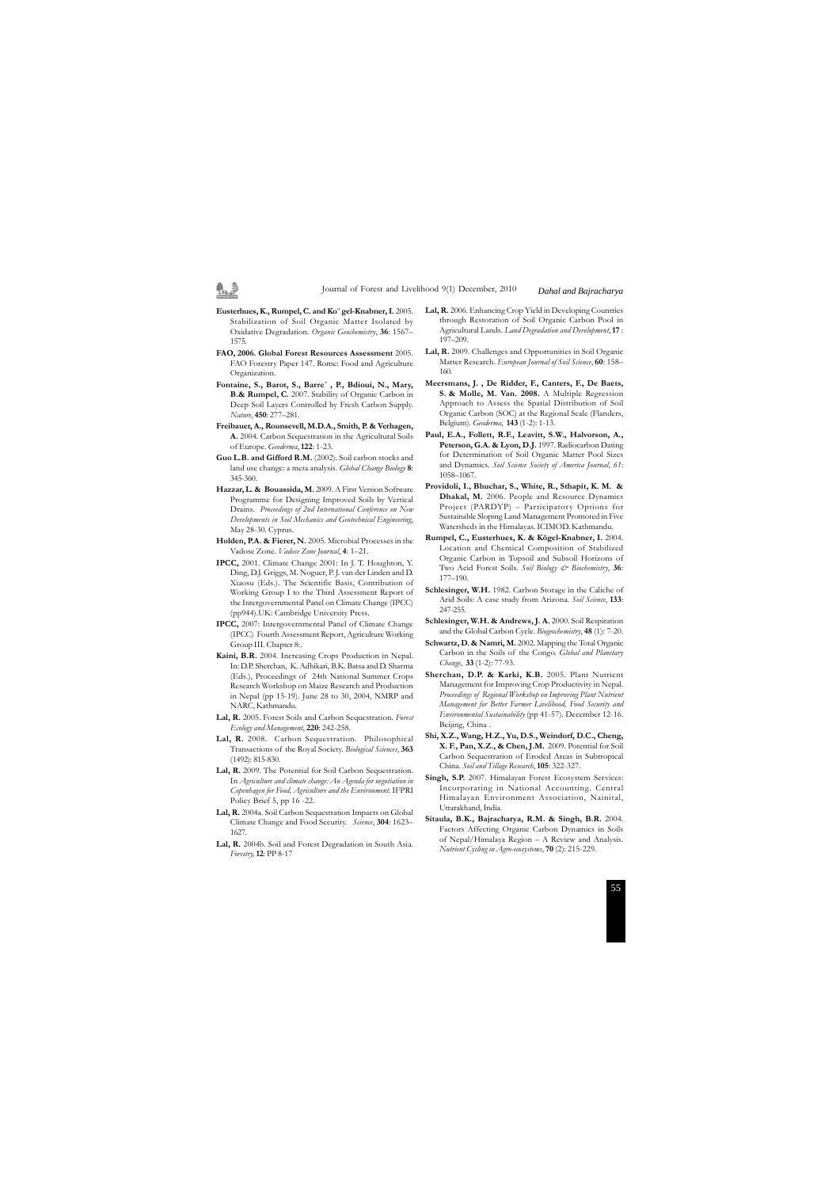**Eusterhues, K., Rumpel, C. and Ko¨ gel-Knabner, I.** 2005. Stabilization of Soil Organic Matter Isolated by Oxidative Degradation. *Organic Geochemistry*, **36**: 1567– 1575.

魯..

- **FAO, 2006. Global Forest Resources Assessment** 2005. FAO Forestry Paper 147. Rome: Food and Agriculture Organization.
- **Fontaine, S., Barot, S., Barre´ , P., Bdioui, N., Mary, B.& Rumpel, C.** 2007. Stability of Organic Carbon in Deep Soil Layers Controlled by Fresh Carbon Supply. *Nature*, **450**: 277–281.
- **Freibauer, A., Rounsevell, M.D.A., Smith, P. & Verhagen, A.** 2004. Carbon Sequestration in the Agricultural Soils of Europe. *Geoderma*, **122**: 1-23.
- **Guo L.B. and Gifford R.M.** (2002). Soil carbon stocks and land use change: a meta analysis. *Global Change Biology* **8**: 345-360.
- **Hazzar, L. & Bouassida, M.** 2009. A First Version Software Programme for Designing Improved Soils by Vertical Drains. *Proceedings of 2nd International Conference on New Developments in Soil Mechanics and Geotechnical Engineering*, May 28-30. Cyprus.
- **Holden, P.A. & Fierer, N.** 2005. Microbial Processes in the Vadose Zone. *Vadose Zone Journal*, **4**: 1–21.
- **IPCC,** 2001. Climate Change 2001: In J. T. Houghton, Y. Ding, D.J. Griggs, M. Noguer, P. J. van der Linden and D. Xiaosu (Eds.). The Scientific Basis, Contribution of Working Group I to the Third Assessment Report of the Intergovernmental Panel on Climate Change (IPCC) (pp944).UK: Cambridge University Press.
- **IPCC,** 2007: Intergovernmental Panel of Climate Change (IPCC) Fourth Assessment Report, Agriculture Working Group III. Chapter 8:.
- **Kaini, B.R.** 2004. Increasing Crops Production in Nepal. In: D.P. Sherchan, K. Adhikari, B.K. Batsa and D. Sharma (Eds.), Proceedings of 24th National Summer Crops Research Workshop on Maize Research and Production in Nepal (pp 15-19). June 28 to 30, 2004, NMRP and NARC, Kathmandu.
- **Lal, R.** 2005. Forest Soils and Carbon Sequestration. *Forest Ecology and Management*, **220**: 242-258.
- **Lal, R.** 2008. Carbon Sequestration. Philosophical Transactions of the Royal Society. *Biological Sciences*, **363** (1492): 815-830.
- **Lal, R.** 2009. The Potential for Soil Carbon Sequestration. In *Agriculture and climate change: An Agenda for negotiation in Copenhagen for Food, Agriculture and the Environment*. IFPRI Policy Brief 5, pp 16 -22.
- **Lal, R.** 2004a. Soil Carbon Sequestration Impacts on Global Climate Change and Food Security. *Science*, **304**: 1623– 1627.
- **Lal, R.** 2004b. Soil and Forest Degradation in South Asia. *Forestry,* **12**: PP 8-17

#### Journal of Forest and Livelihood 9(1) December, 2010 *Dahal and Bajracharya*

- **Lal, R.** 2006. Enhancing Crop Yield in Developing Countries through Restoration of Soil Organic Carbon Pool in Agricultural Lands. *Land Degradation and Development*, **17** : 197–209.
- **Lal, R.** 2009. Challenges and Opportunities in Soil Organic Matter Research. *European Journal of Soil Science*, **60**: 158– 160.
- **Meersmans, J. , De Ridder, F., Canters, F., De Baets, S. & Molle, M. Van. 2008.** A Multiple Regression Approach to Assess the Spatial Distribution of Soil Organic Carbon (SOC) at the Regional Scale (Flanders, Belgium). *Geoderma*, **143** (1-2): 1-13.
- **Paul, E.A., Follett, R.F., Leavitt, S.W., Halvorson, A.,** Peterson, G.A. & Lyon, D.J. 1997. Radiocarbon Dating for Determination of Soil Organic Matter Pool Sizes and Dynamics. *Soil Science Society of America Journal*, *61*: 1058–1067.
- **Providoli, I., Bhuchar, S., White, R., Sthapit, K. M. & Dhakal, M.** 2006. People and Resource Dynamics Project (PARDYP) – Participatory Options for Sustainable Sloping Land Management Promoted in Five Watersheds in the Himalayas. ICIMOD. Kathmandu.
- **Rumpel, C., Eusterhues, K. & Kögel-Knabner, I.** 2004. Location and Chemical Composition of Stabilized Organic Carbon in Topsoil and Subsoil Horizons of Two Acid Forest Soils. *Soil Biology & Biochemistry*, **36**: 177–190.
- **Schlesinger, W.H.** 1982. Carbon Storage in the Caliche of Arid Soils: A case study from Arizona. *Soil Science*, **133**: 247-255.
- **Schlesinger, W.H. & Andrews, J. A.** 2000. Soil Respiration and the Global Carbon Cycle. *Biogeochemistry*, **48** (1): 7-20.
- **Schwartz, D. & Namri, M.** 2002. Mapping the Total Organic Carbon in the Soils of the Congo. *Global and Planetary Change*, **33** (1-2): 77-93.
- **Sherchan, D.P. & Karki, K.B.** 2005. Plant Nutrient Management for Improving Crop Productivity in Nepal. *Proceedings of Regional Workshop on Improving Plant Nutrient Management for Better Farmer Livelihood, Food Security and Environmental Sustainability* (pp 41-57). December 12-16. Beijing, China .
- **Shi, X.Z., Wang, H.Z., Yu, D.S., Weindorf, D.C., Cheng, X. F., Pan, X.Z., & Chen, J.M.** 2009. Potential for Soil Carbon Sequestration of Eroded Areas in Subtropical China. *Soil and Tillage Research*, **105**: 322-327.
- **Singh, S.P.** 2007. Himalayan Forest Ecosystem Services: Incorporating in National Accounting. Central Himalayan Environment Association, Nainital, Uttarakhand, India.
- **Sitaula, B.K., Bajracharya, R.M. & Singh, B.R.** 2004. Factors Affecting Organic Carbon Dynamics in Soils of Nepal/Himalaya Region – A Review and Analysis. *Nutrient Cycling in Agro-ecosystems*, **70** (2): 215-229.